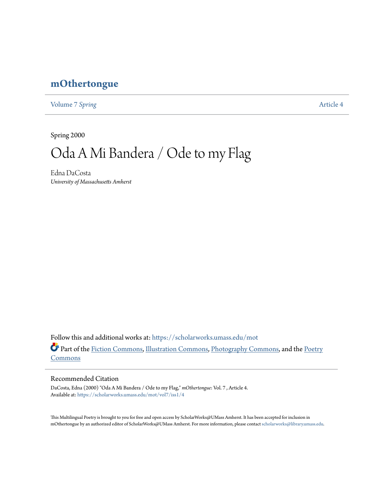## **[mOthertongue](https://scholarworks.umass.edu/mot?utm_source=scholarworks.umass.edu%2Fmot%2Fvol7%2Fiss1%2F4&utm_medium=PDF&utm_campaign=PDFCoverPages)**

[Volume 7](https://scholarworks.umass.edu/mot/vol7?utm_source=scholarworks.umass.edu%2Fmot%2Fvol7%2Fiss1%2F4&utm_medium=PDF&utm_campaign=PDFCoverPages) Spring **[Article 4](https://scholarworks.umass.edu/mot/vol7/iss1/4?utm_source=scholarworks.umass.edu%2Fmot%2Fvol7%2Fiss1%2F4&utm_medium=PDF&utm_campaign=PDFCoverPages)** 

Spring 2000

# Oda A Mi Bandera / Ode to my Flag

Edna DaCosta *University of Massachusetts Amherst*

Follow this and additional works at: [https://scholarworks.umass.edu/mot](https://scholarworks.umass.edu/mot?utm_source=scholarworks.umass.edu%2Fmot%2Fvol7%2Fiss1%2F4&utm_medium=PDF&utm_campaign=PDFCoverPages) Part of the [Fiction Commons](http://network.bepress.com/hgg/discipline/1151?utm_source=scholarworks.umass.edu%2Fmot%2Fvol7%2Fiss1%2F4&utm_medium=PDF&utm_campaign=PDFCoverPages), [Illustration Commons,](http://network.bepress.com/hgg/discipline/1135?utm_source=scholarworks.umass.edu%2Fmot%2Fvol7%2Fiss1%2F4&utm_medium=PDF&utm_campaign=PDFCoverPages) [Photography Commons,](http://network.bepress.com/hgg/discipline/1142?utm_source=scholarworks.umass.edu%2Fmot%2Fvol7%2Fiss1%2F4&utm_medium=PDF&utm_campaign=PDFCoverPages) and the [Poetry](http://network.bepress.com/hgg/discipline/1153?utm_source=scholarworks.umass.edu%2Fmot%2Fvol7%2Fiss1%2F4&utm_medium=PDF&utm_campaign=PDFCoverPages) [Commons](http://network.bepress.com/hgg/discipline/1153?utm_source=scholarworks.umass.edu%2Fmot%2Fvol7%2Fiss1%2F4&utm_medium=PDF&utm_campaign=PDFCoverPages)

#### Recommended Citation

DaCosta, Edna (2000) "Oda A Mi Bandera / Ode to my Flag," *mOthertongue*: Vol. 7 , Article 4. Available at: [https://scholarworks.umass.edu/mot/vol7/iss1/4](https://scholarworks.umass.edu/mot/vol7/iss1/4?utm_source=scholarworks.umass.edu%2Fmot%2Fvol7%2Fiss1%2F4&utm_medium=PDF&utm_campaign=PDFCoverPages)

This Multilingual Poetry is brought to you for free and open access by ScholarWorks@UMass Amherst. It has been accepted for inclusion in mOthertongue by an authorized editor of ScholarWorks@UMass Amherst. For more information, please contact [scholarworks@library.umass.edu](mailto:scholarworks@library.umass.edu).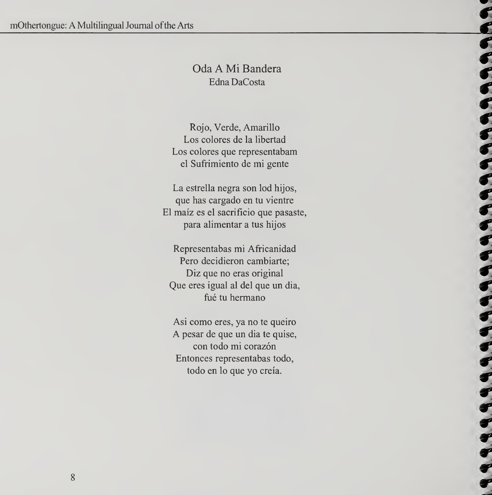## Oda A Mi Bandera Edna DaCosta

Rojo, Verde, Amarillo Los colores de la libertad Los colores que representabam el Sufrimiento de mi gente

La estrella negra son lod hijos, que has cargado en tu vientre El maiz es el sacrificio que pasaste, para alimentar a tus hijos

Representabas mi Africanidad Pero decidieron cambiarte; Diz que no eras original Que eres igual al del que un dia, fué tu hermano

ししししくしししょうじょう しきききき きききききき

Asi como eres, ya no te queiro A pesar de que un dia te quise, con todo mi corazón Entonces representabas todo, todo en lo que yo creia.